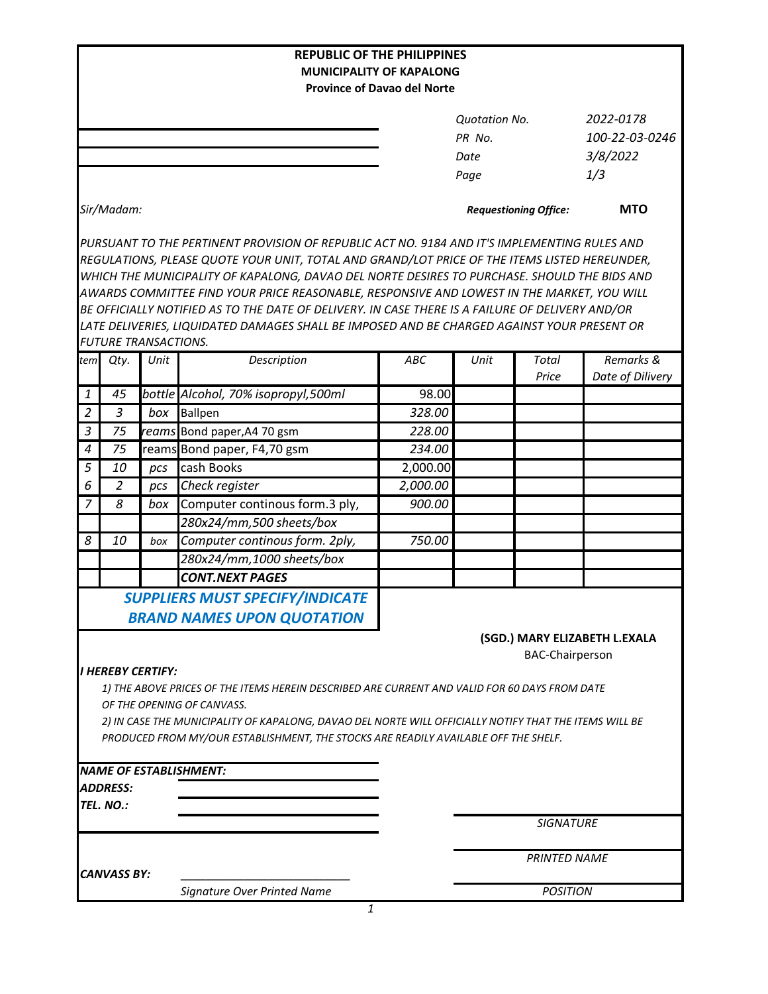|                  |                             |      | <b>REPUBLIC OF THE PHILIPPINES</b>                                                                     |                                    |                              |                        |                               |
|------------------|-----------------------------|------|--------------------------------------------------------------------------------------------------------|------------------------------------|------------------------------|------------------------|-------------------------------|
|                  |                             |      | <b>MUNICIPALITY OF KAPALONG</b>                                                                        | <b>Province of Davao del Norte</b> |                              |                        |                               |
|                  |                             |      |                                                                                                        |                                    |                              |                        |                               |
|                  |                             |      |                                                                                                        |                                    | <b>Quotation No.</b>         |                        | 2022-0178                     |
|                  |                             |      |                                                                                                        |                                    | PR No.                       |                        | 100-22-03-0246                |
|                  |                             |      |                                                                                                        |                                    | Date                         |                        | 3/8/2022                      |
|                  |                             |      |                                                                                                        |                                    | Page                         |                        | 1/3                           |
|                  |                             |      |                                                                                                        |                                    |                              |                        |                               |
|                  | Sir/Madam:                  |      |                                                                                                        |                                    | <b>Requestioning Office:</b> | <b>MTO</b>             |                               |
|                  |                             |      | PURSUANT TO THE PERTINENT PROVISION OF REPUBLIC ACT NO. 9184 AND IT'S IMPLEMENTING RULES AND           |                                    |                              |                        |                               |
|                  |                             |      | REGULATIONS, PLEASE QUOTE YOUR UNIT, TOTAL AND GRAND/LOT PRICE OF THE ITEMS LISTED HEREUNDER,          |                                    |                              |                        |                               |
|                  |                             |      | WHICH THE MUNICIPALITY OF KAPALONG, DAVAO DEL NORTE DESIRES TO PURCHASE. SHOULD THE BIDS AND           |                                    |                              |                        |                               |
|                  |                             |      | AWARDS COMMITTEE FIND YOUR PRICE REASONABLE, RESPONSIVE AND LOWEST IN THE MARKET, YOU WILL             |                                    |                              |                        |                               |
|                  |                             |      | BE OFFICIALLY NOTIFIED AS TO THE DATE OF DELIVERY. IN CASE THERE IS A FAILURE OF DELIVERY AND/OR       |                                    |                              |                        |                               |
|                  | <b>FUTURE TRANSACTIONS.</b> |      | LATE DELIVERIES, LIQUIDATED DAMAGES SHALL BE IMPOSED AND BE CHARGED AGAINST YOUR PRESENT OR            |                                    |                              |                        |                               |
| tem              | Qty.                        | Unit | Description                                                                                            | ABC                                | Unit                         | Total                  | Remarks &                     |
|                  |                             |      |                                                                                                        |                                    |                              | Price                  | Date of Dilivery              |
| 1                | 45                          |      | bottle Alcohol, 70% isopropyl,500ml                                                                    | 98.00                              |                              |                        |                               |
| $\overline{2}$   | $\mathfrak{Z}$              | box  | <b>Ballpen</b>                                                                                         | 328.00                             |                              |                        |                               |
| $\mathfrak{Z}$   | 75                          |      | reams Bond paper, A4 70 gsm                                                                            | 228.00                             |                              |                        |                               |
| $\boldsymbol{4}$ | 75                          |      | reams Bond paper, F4,70 gsm                                                                            | 234.00                             |                              |                        |                               |
| $\overline{5}$   | 10                          | pcs  | cash Books                                                                                             | 2,000.00                           |                              |                        |                               |
| 6                | 2                           | pcs  | Check register                                                                                         | 2,000.00                           |                              |                        |                               |
| $\overline{7}$   | 8                           | box  | Computer continous form.3 ply,                                                                         | 900.00                             |                              |                        |                               |
|                  |                             |      | 280x24/mm,500 sheets/box                                                                               |                                    |                              |                        |                               |
| 8                | 10                          | box  | Computer continous form. 2ply,                                                                         | 750.00                             |                              |                        |                               |
|                  |                             |      | 280x24/mm,1000 sheets/box                                                                              |                                    |                              |                        |                               |
|                  |                             |      | <b>CONT.NEXT PAGES</b>                                                                                 |                                    |                              |                        |                               |
|                  |                             |      | <b>SUPPLIERS MUST SPECIFY/INDICATE</b>                                                                 |                                    |                              |                        |                               |
|                  |                             |      | <b>BRAND NAMES UPON QUOTATION</b>                                                                      |                                    |                              |                        |                               |
|                  |                             |      |                                                                                                        |                                    |                              |                        | (SGD.) MARY ELIZABETH L.EXALA |
|                  |                             |      |                                                                                                        |                                    |                              | <b>BAC-Chairperson</b> |                               |
|                  | <b>I HEREBY CERTIFY:</b>    |      |                                                                                                        |                                    |                              |                        |                               |
|                  |                             |      | 1) THE ABOVE PRICES OF THE ITEMS HEREIN DESCRIBED ARE CURRENT AND VALID FOR 60 DAYS FROM DATE          |                                    |                              |                        |                               |
|                  |                             |      | OF THE OPENING OF CANVASS.                                                                             |                                    |                              |                        |                               |
|                  |                             |      | 2) IN CASE THE MUNICIPALITY OF KAPALONG, DAVAO DEL NORTE WILL OFFICIALLY NOTIFY THAT THE ITEMS WILL BE |                                    |                              |                        |                               |
|                  |                             |      | PRODUCED FROM MY/OUR ESTABLISHMENT, THE STOCKS ARE READILY AVAILABLE OFF THE SHELF.                    |                                    |                              |                        |                               |
|                  |                             |      | <b>NAME OF ESTABLISHMENT:</b>                                                                          |                                    |                              |                        |                               |
|                  | <b>ADDRESS:</b>             |      |                                                                                                        |                                    |                              |                        |                               |
|                  | TEL. NO.:                   |      |                                                                                                        |                                    |                              |                        |                               |
|                  |                             |      |                                                                                                        |                                    |                              | <b>SIGNATURE</b>       |                               |
|                  |                             |      |                                                                                                        |                                    |                              |                        |                               |
|                  | <b>CANVASS BY:</b>          |      |                                                                                                        |                                    |                              | <b>PRINTED NAME</b>    |                               |
|                  |                             |      | Signature Over Printed Name                                                                            |                                    | <b>POSITION</b>              |                        |                               |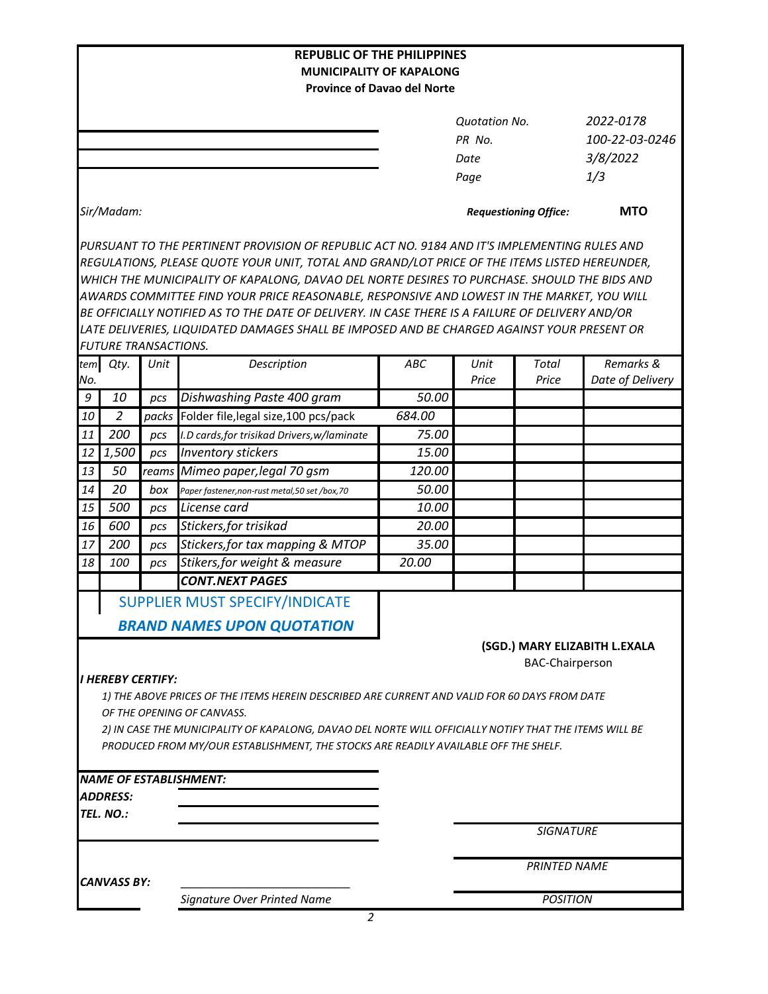| <b>REPUBLIC OF THE PHILIPPINES</b>                                                                                                                                                            |                             |       |                                                                                                  |                 |                              |                        |                               |  |  |
|-----------------------------------------------------------------------------------------------------------------------------------------------------------------------------------------------|-----------------------------|-------|--------------------------------------------------------------------------------------------------|-----------------|------------------------------|------------------------|-------------------------------|--|--|
| <b>MUNICIPALITY OF KAPALONG</b>                                                                                                                                                               |                             |       |                                                                                                  |                 |                              |                        |                               |  |  |
| <b>Province of Davao del Norte</b>                                                                                                                                                            |                             |       |                                                                                                  |                 |                              |                        |                               |  |  |
|                                                                                                                                                                                               |                             |       |                                                                                                  |                 | <b>Quotation No.</b>         |                        | 2022-0178                     |  |  |
|                                                                                                                                                                                               |                             |       |                                                                                                  |                 | PR No.                       |                        | 100-22-03-0246                |  |  |
|                                                                                                                                                                                               |                             |       |                                                                                                  |                 | Date                         |                        | 3/8/2022                      |  |  |
|                                                                                                                                                                                               |                             |       |                                                                                                  |                 | Page                         |                        | 1/3                           |  |  |
|                                                                                                                                                                                               |                             |       |                                                                                                  |                 |                              |                        |                               |  |  |
| Sir/Madam:                                                                                                                                                                                    |                             |       |                                                                                                  |                 | <b>Requestioning Office:</b> | <b>MTO</b>             |                               |  |  |
|                                                                                                                                                                                               |                             |       | PURSUANT TO THE PERTINENT PROVISION OF REPUBLIC ACT NO. 9184 AND IT'S IMPLEMENTING RULES AND     |                 |                              |                        |                               |  |  |
|                                                                                                                                                                                               |                             |       | REGULATIONS, PLEASE QUOTE YOUR UNIT, TOTAL AND GRAND/LOT PRICE OF THE ITEMS LISTED HEREUNDER,    |                 |                              |                        |                               |  |  |
|                                                                                                                                                                                               |                             |       | WHICH THE MUNICIPALITY OF KAPALONG, DAVAO DEL NORTE DESIRES TO PURCHASE. SHOULD THE BIDS AND     |                 |                              |                        |                               |  |  |
|                                                                                                                                                                                               |                             |       | AWARDS COMMITTEE FIND YOUR PRICE REASONABLE, RESPONSIVE AND LOWEST IN THE MARKET, YOU WILL       |                 |                              |                        |                               |  |  |
|                                                                                                                                                                                               |                             |       | BE OFFICIALLY NOTIFIED AS TO THE DATE OF DELIVERY. IN CASE THERE IS A FAILURE OF DELIVERY AND/OR |                 |                              |                        |                               |  |  |
|                                                                                                                                                                                               |                             |       | LATE DELIVERIES, LIQUIDATED DAMAGES SHALL BE IMPOSED AND BE CHARGED AGAINST YOUR PRESENT OR      |                 |                              |                        |                               |  |  |
|                                                                                                                                                                                               | <b>FUTURE TRANSACTIONS.</b> |       |                                                                                                  |                 |                              |                        |                               |  |  |
| tem                                                                                                                                                                                           | Qty.                        | Unit  | Description                                                                                      | ABC             | Unit                         | Total                  | Remarks &                     |  |  |
| No.                                                                                                                                                                                           |                             |       |                                                                                                  |                 | Price                        | Price                  | Date of Delivery              |  |  |
| 9                                                                                                                                                                                             | 10                          | pcs   | Dishwashing Paste 400 gram                                                                       | 50.00           |                              |                        |                               |  |  |
| 10                                                                                                                                                                                            | $\overline{2}$              | packs | Folder file, legal size, 100 pcs/pack                                                            | 684.00          |                              |                        |                               |  |  |
| 11                                                                                                                                                                                            | 200                         | pcs   | I.D cards, for trisikad Drivers, w/laminate                                                      | 75.00           |                              |                        |                               |  |  |
| 12                                                                                                                                                                                            | 1,500                       | pcs   | <b>Inventory stickers</b>                                                                        | 15.00           |                              |                        |                               |  |  |
| 13                                                                                                                                                                                            | 50                          | reams | Mimeo paper, legal 70 gsm                                                                        | 120.00          |                              |                        |                               |  |  |
| 14                                                                                                                                                                                            | 20                          | box   | Paper fastener, non-rust metal, 50 set /box, 70                                                  | 50.00           |                              |                        |                               |  |  |
| 15                                                                                                                                                                                            | 500                         | pcs   | License card                                                                                     | 10.00           |                              |                        |                               |  |  |
| 16                                                                                                                                                                                            | 600                         | pcs   | Stickers, for trisikad                                                                           | 20.00           |                              |                        |                               |  |  |
| 17                                                                                                                                                                                            | 200                         | pcs   | Stickers, for tax mapping & MTOP                                                                 | 35.00           |                              |                        |                               |  |  |
| 18                                                                                                                                                                                            | 100                         | pcs   | Stikers, for weight & measure                                                                    | 20.00           |                              |                        |                               |  |  |
|                                                                                                                                                                                               |                             |       | <b>CONT.NEXT PAGES</b>                                                                           |                 |                              |                        |                               |  |  |
|                                                                                                                                                                                               |                             |       | SUPPLIER MUST SPECIFY/INDICATE                                                                   |                 |                              |                        |                               |  |  |
|                                                                                                                                                                                               |                             |       |                                                                                                  |                 |                              |                        |                               |  |  |
|                                                                                                                                                                                               |                             |       | <b>BRAND NAMES UPON QUOTATION</b>                                                                |                 |                              |                        |                               |  |  |
|                                                                                                                                                                                               |                             |       |                                                                                                  |                 |                              |                        | (SGD.) MARY ELIZABITH L.EXALA |  |  |
|                                                                                                                                                                                               |                             |       |                                                                                                  |                 |                              | <b>BAC-Chairperson</b> |                               |  |  |
|                                                                                                                                                                                               | <b>I HEREBY CERTIFY:</b>    |       |                                                                                                  |                 |                              |                        |                               |  |  |
|                                                                                                                                                                                               |                             |       | 1) THE ABOVE PRICES OF THE ITEMS HEREIN DESCRIBED ARE CURRENT AND VALID FOR 60 DAYS FROM DATE    |                 |                              |                        |                               |  |  |
| OF THE OPENING OF CANVASS.                                                                                                                                                                    |                             |       |                                                                                                  |                 |                              |                        |                               |  |  |
| 2) IN CASE THE MUNICIPALITY OF KAPALONG, DAVAO DEL NORTE WILL OFFICIALLY NOTIFY THAT THE ITEMS WILL BE<br>PRODUCED FROM MY/OUR ESTABLISHMENT, THE STOCKS ARE READILY AVAILABLE OFF THE SHELF. |                             |       |                                                                                                  |                 |                              |                        |                               |  |  |
|                                                                                                                                                                                               |                             |       |                                                                                                  |                 |                              |                        |                               |  |  |
|                                                                                                                                                                                               |                             |       | <b>NAME OF ESTABLISHMENT:</b>                                                                    |                 |                              |                        |                               |  |  |
|                                                                                                                                                                                               | <b>ADDRESS:</b>             |       |                                                                                                  |                 |                              |                        |                               |  |  |
| TEL. NO.:                                                                                                                                                                                     |                             |       |                                                                                                  |                 |                              |                        |                               |  |  |
|                                                                                                                                                                                               |                             |       |                                                                                                  |                 | <b>SIGNATURE</b>             |                        |                               |  |  |
|                                                                                                                                                                                               |                             |       |                                                                                                  |                 |                              |                        |                               |  |  |
|                                                                                                                                                                                               |                             |       |                                                                                                  |                 | <b>PRINTED NAME</b>          |                        |                               |  |  |
| <b>CANVASS BY:</b>                                                                                                                                                                            |                             |       |                                                                                                  | <b>POSITION</b> |                              |                        |                               |  |  |
|                                                                                                                                                                                               |                             |       | Signature Over Printed Name                                                                      |                 |                              |                        |                               |  |  |
|                                                                                                                                                                                               |                             |       | 2                                                                                                |                 |                              |                        |                               |  |  |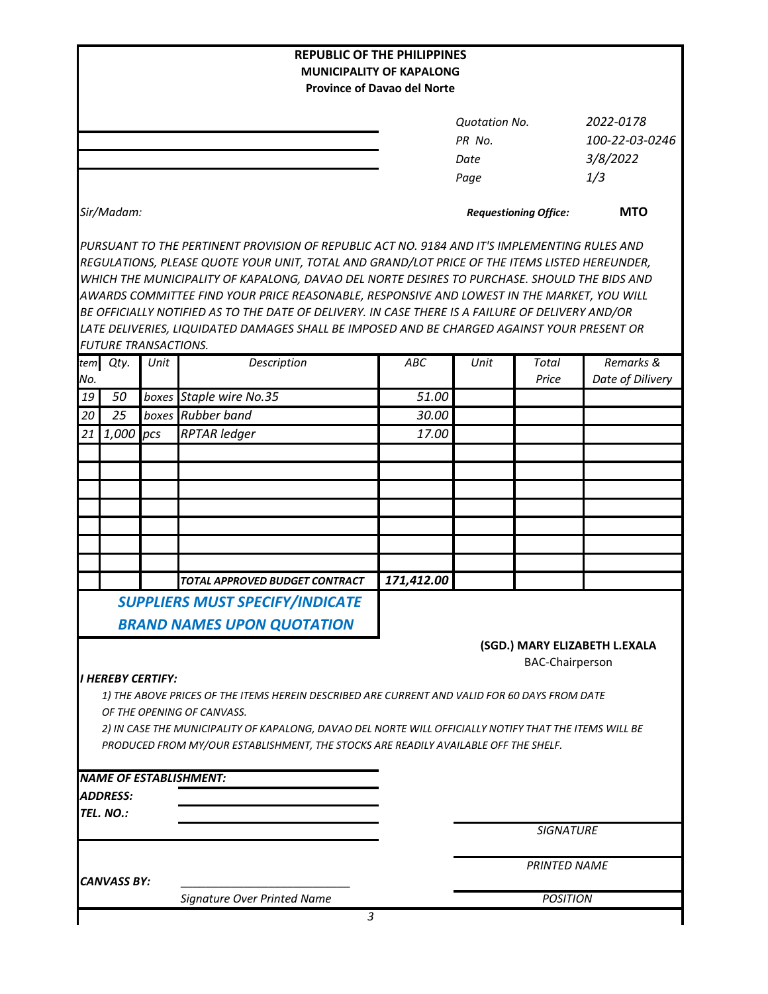|                    |                                                                                                        |      |                                                                                                  | <b>REPUBLIC OF THE PHILIPPINES</b>                                    |               |                              |                               |  |  |
|--------------------|--------------------------------------------------------------------------------------------------------|------|--------------------------------------------------------------------------------------------------|-----------------------------------------------------------------------|---------------|------------------------------|-------------------------------|--|--|
|                    |                                                                                                        |      |                                                                                                  | <b>MUNICIPALITY OF KAPALONG</b><br><b>Province of Davao del Norte</b> |               |                              |                               |  |  |
|                    |                                                                                                        |      |                                                                                                  |                                                                       |               |                              |                               |  |  |
|                    |                                                                                                        |      |                                                                                                  |                                                                       | Quotation No. |                              | 2022-0178                     |  |  |
|                    |                                                                                                        |      |                                                                                                  |                                                                       | PR No.        |                              | 100-22-03-0246                |  |  |
|                    |                                                                                                        |      |                                                                                                  |                                                                       | Date          |                              | 3/8/2022                      |  |  |
|                    |                                                                                                        |      |                                                                                                  |                                                                       | Page          |                              | 1/3                           |  |  |
|                    | Sir/Madam:                                                                                             |      |                                                                                                  |                                                                       |               | <b>Requestioning Office:</b> | <b>MTO</b>                    |  |  |
|                    |                                                                                                        |      | PURSUANT TO THE PERTINENT PROVISION OF REPUBLIC ACT NO. 9184 AND IT'S IMPLEMENTING RULES AND     |                                                                       |               |                              |                               |  |  |
|                    |                                                                                                        |      | REGULATIONS, PLEASE QUOTE YOUR UNIT, TOTAL AND GRAND/LOT PRICE OF THE ITEMS LISTED HEREUNDER,    |                                                                       |               |                              |                               |  |  |
|                    |                                                                                                        |      | WHICH THE MUNICIPALITY OF KAPALONG, DAVAO DEL NORTE DESIRES TO PURCHASE. SHOULD THE BIDS AND     |                                                                       |               |                              |                               |  |  |
|                    |                                                                                                        |      | AWARDS COMMITTEE FIND YOUR PRICE REASONABLE, RESPONSIVE AND LOWEST IN THE MARKET, YOU WILL       |                                                                       |               |                              |                               |  |  |
|                    |                                                                                                        |      | BE OFFICIALLY NOTIFIED AS TO THE DATE OF DELIVERY. IN CASE THERE IS A FAILURE OF DELIVERY AND/OR |                                                                       |               |                              |                               |  |  |
|                    | <b>FUTURE TRANSACTIONS.</b>                                                                            |      | LATE DELIVERIES, LIQUIDATED DAMAGES SHALL BE IMPOSED AND BE CHARGED AGAINST YOUR PRESENT OR      |                                                                       |               |                              |                               |  |  |
|                    | tem Qty.                                                                                               | Unit | Description                                                                                      | ABC                                                                   | Unit          | Total                        | Remarks &                     |  |  |
| No.                |                                                                                                        |      |                                                                                                  |                                                                       |               | Price                        | Date of Dilivery              |  |  |
| 19                 | 50                                                                                                     |      | boxes Staple wire No.35                                                                          | 51.00                                                                 |               |                              |                               |  |  |
| 20                 | 25                                                                                                     |      | boxes Rubber band                                                                                | 30.00                                                                 |               |                              |                               |  |  |
| 21                 | $1,000$ pcs                                                                                            |      | <b>RPTAR ledger</b>                                                                              | 17.00                                                                 |               |                              |                               |  |  |
|                    |                                                                                                        |      |                                                                                                  |                                                                       |               |                              |                               |  |  |
|                    |                                                                                                        |      |                                                                                                  |                                                                       |               |                              |                               |  |  |
|                    |                                                                                                        |      |                                                                                                  |                                                                       |               |                              |                               |  |  |
|                    |                                                                                                        |      |                                                                                                  |                                                                       |               |                              |                               |  |  |
|                    |                                                                                                        |      |                                                                                                  |                                                                       |               |                              |                               |  |  |
|                    |                                                                                                        |      |                                                                                                  |                                                                       |               |                              |                               |  |  |
|                    |                                                                                                        |      |                                                                                                  |                                                                       |               |                              |                               |  |  |
|                    |                                                                                                        |      | TOTAL APPROVED BUDGET CONTRACT                                                                   | 171,412.00                                                            |               |                              |                               |  |  |
|                    |                                                                                                        |      | <b>SUPPLIERS MUST SPECIFY/INDICATE</b>                                                           |                                                                       |               |                              |                               |  |  |
|                    |                                                                                                        |      | <b>BRAND NAMES UPON QUOTATION</b>                                                                |                                                                       |               |                              |                               |  |  |
|                    |                                                                                                        |      |                                                                                                  |                                                                       |               |                              | (SGD.) MARY ELIZABETH L.EXALA |  |  |
|                    |                                                                                                        |      |                                                                                                  |                                                                       |               | <b>BAC-Chairperson</b>       |                               |  |  |
|                    | <b>I HEREBY CERTIFY:</b>                                                                               |      |                                                                                                  |                                                                       |               |                              |                               |  |  |
|                    |                                                                                                        |      | 1) THE ABOVE PRICES OF THE ITEMS HEREIN DESCRIBED ARE CURRENT AND VALID FOR 60 DAYS FROM DATE    |                                                                       |               |                              |                               |  |  |
|                    |                                                                                                        |      | OF THE OPENING OF CANVASS.                                                                       |                                                                       |               |                              |                               |  |  |
|                    | 2) IN CASE THE MUNICIPALITY OF KAPALONG, DAVAO DEL NORTE WILL OFFICIALLY NOTIFY THAT THE ITEMS WILL BE |      |                                                                                                  |                                                                       |               |                              |                               |  |  |
|                    |                                                                                                        |      | PRODUCED FROM MY/OUR ESTABLISHMENT, THE STOCKS ARE READILY AVAILABLE OFF THE SHELF.              |                                                                       |               |                              |                               |  |  |
|                    |                                                                                                        |      | <b>NAME OF ESTABLISHMENT:</b>                                                                    |                                                                       |               |                              |                               |  |  |
|                    | ADDRESS:                                                                                               |      |                                                                                                  |                                                                       |               |                              |                               |  |  |
|                    | TEL. NO.:                                                                                              |      |                                                                                                  |                                                                       |               |                              |                               |  |  |
|                    |                                                                                                        |      |                                                                                                  |                                                                       |               | <b>SIGNATURE</b>             |                               |  |  |
|                    |                                                                                                        |      |                                                                                                  |                                                                       |               |                              |                               |  |  |
|                    |                                                                                                        |      |                                                                                                  | <b>PRINTED NAME</b>                                                   |               |                              |                               |  |  |
| <b>CANVASS BY:</b> |                                                                                                        |      |                                                                                                  |                                                                       |               |                              |                               |  |  |
|                    |                                                                                                        |      | Signature Over Printed Name                                                                      |                                                                       |               | <b>POSITION</b>              |                               |  |  |
|                    |                                                                                                        |      | 3                                                                                                |                                                                       |               |                              |                               |  |  |